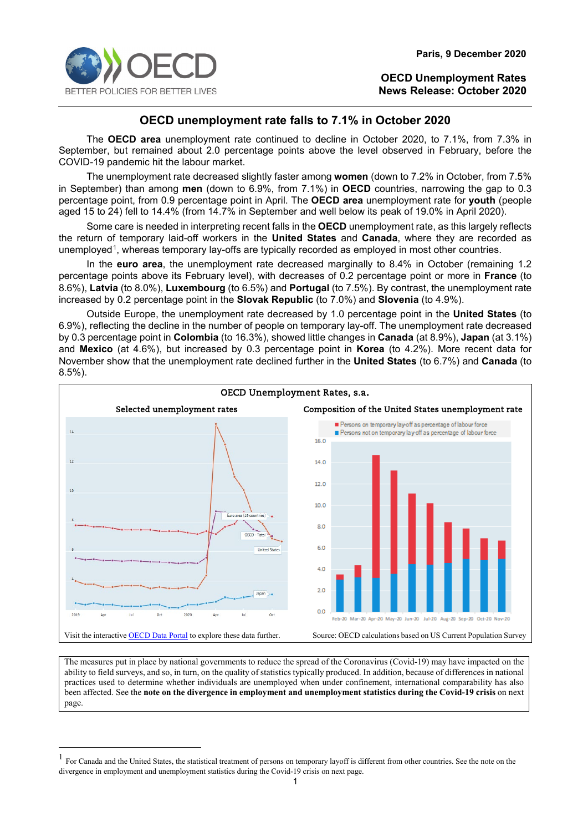

# **OECD unemployment rate falls to 7.1% in October 2020**

The **OECD area** unemployment rate continued to decline in October 2020, to 7.1%, from 7.3% in September, but remained about 2.0 percentage points above the level observed in February, before the COVID-19 pandemic hit the labour market.

The unemployment rate decreased slightly faster among **women** (down to 7.2% in October, from 7.5% in September) than among **men** (down to 6.9%, from 7.1%) in **OECD** countries, narrowing the gap to 0.3 percentage point, from 0.9 percentage point in April. The **OECD area** unemployment rate for **youth** (people aged 15 to 24) fell to 14.4% (from 14.7% in September and well below its peak of 19.0% in April 2020).

Some care is needed in interpreting recent falls in the **OECD** unemployment rate, as this largely reflects the return of temporary laid-off workers in the **United States** and **Canada**, where they are recorded as unemployed<sup>[1](#page-0-0)</sup>, whereas temporary lay-offs are typically recorded as employed in most other countries.

In the **euro area**, the unemployment rate decreased marginally to 8.4% in October (remaining 1.2 percentage points above its February level), with decreases of 0.2 percentage point or more in **France** (to 8.6%), **Latvia** (to 8.0%), **Luxembourg** (to 6.5%) and **Portugal** (to 7.5%). By contrast, the unemployment rate increased by 0.2 percentage point in the **Slovak Republic** (to 7.0%) and **Slovenia** (to 4.9%).

Outside Europe, the unemployment rate decreased by 1.0 percentage point in the **United States** (to 6.9%), reflecting the decline in the number of people on temporary lay-off. The unemployment rate decreased by 0.3 percentage point in **Colombia** (to 16.3%), showed little changes in **Canada** (at 8.9%), **Japan** (at 3.1%) and **Mexico** (at 4.6%), but increased by 0.3 percentage point in **Korea** (to 4.2%). More recent data for November show that the unemployment rate declined further in the **United States** (to 6.7%) and **Canada** (to 8.5%).



The measures put in place by national governments to reduce the spread of the Coronavirus (Covid-19) may have impacted on the ability to field surveys, and so, in turn, on the quality of statistics typically produced. In addition, because of differences in national practices used to determine whether individuals are unemployed when under confinement, international comparability has also been affected. See the **note on the divergence in employment and unemployment statistics during the Covid-19 crisis** on next page.

<span id="page-0-0"></span> <sup>1</sup> For Canada and the United States, the statistical treatment of persons on temporary layoff is different from other countries. See the note on the divergence in employment and unemployment statistics during the Covid-19 crisis on next page.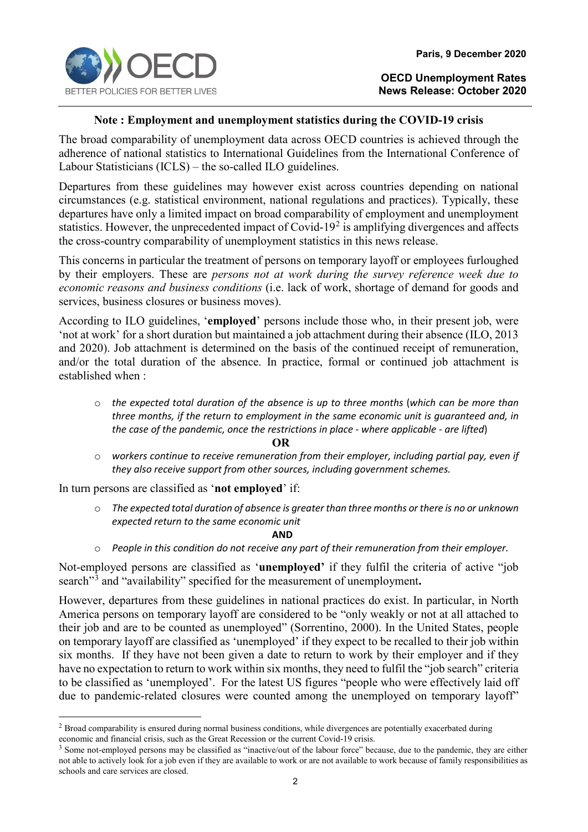

# **Note : Employment and unemployment statistics during the COVID-19 crisis**

The broad comparability of unemployment data across OECD countries is achieved through the adherence of national statistics to International Guidelines from the International Conference of Labour Statisticians (ICLS) – the so-called ILO guidelines.

Departures from these guidelines may however exist across countries depending on national circumstances (e.g. statistical environment, national regulations and practices). Typically, these departures have only a limited impact on broad comparability of employment and unemployment statistics. However, the unprecedented impact of Covid-19 $2$  is amplifying divergences and affects the cross-country comparability of unemployment statistics in this news release.

This concerns in particular the treatment of persons on temporary layoff or employees furloughed by their employers. These are *persons not at work during the survey reference week due to economic reasons and business conditions* (i.e. lack of work, shortage of demand for goods and services, business closures or business moves).

According to ILO guidelines, '**employed**' persons include those who, in their present job, were 'not at work' for a short duration but maintained a job attachment during their absence (ILO, 2013 and 2020). Job attachment is determined on the basis of the continued receipt of remuneration, and/or the total duration of the absence. In practice, formal or continued job attachment is established when :

o *the expected total duration of the absence is up to three months* (*which can be more than three months, if the return to employment in the same economic unit is guaranteed and, in the case of the pandemic, once the restrictions in place - where applicable - are lifted*)

#### **OR**

o *workers continue to receive remuneration from their employer, including partial pay, even if they also receive support from other sources, including government schemes.*

In turn persons are classified as '**not employed**' if:

o *The expected total duration of absence is greater than three months or there is no or unknown expected return to the same economic unit* 

**AND** 

o *People in this condition do not receive any part of their remuneration from their employer.*

Not-employed persons are classified as '**unemployed'** if they fulfil the criteria of active "job search"[3](#page-1-1) and "availability" specified for the measurement of unemployment**.**

However, departures from these guidelines in national practices do exist. In particular, in North America persons on temporary layoff are considered to be "only weakly or not at all attached to their job and are to be counted as unemployed" (Sorrentino, 2000). In the United States, people on temporary layoff are classified as 'unemployed' if they expect to be recalled to their job within six months. If they have not been given a date to return to work by their employer and if they have no expectation to return to work within six months, they need to fulfil the "job search" criteria to be classified as 'unemployed'. For the latest US figures "people who were effectively laid off due to pandemic-related closures were counted among the unemployed on temporary layoff"

<span id="page-1-0"></span> $<sup>2</sup>$  Broad comparability is ensured during normal business conditions, while divergences are potentially exacerbated during</sup> economic and financial crisis, such as the Great Recession or the current Covid-19 crisis.

<span id="page-1-1"></span><sup>&</sup>lt;sup>3</sup> Some not-employed persons may be classified as "inactive/out of the labour force" because, due to the pandemic, they are either not able to actively look for a job even if they are available to work or are not available to work because of family responsibilities as schools and care services are closed.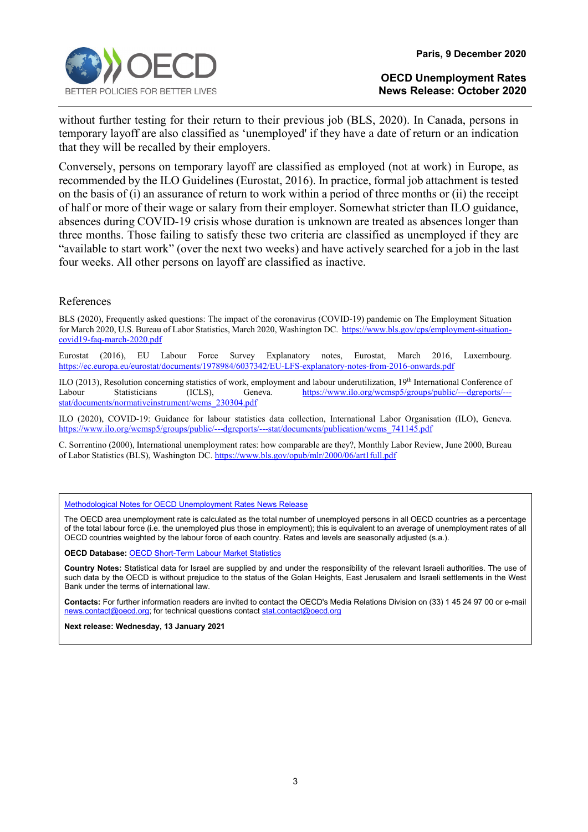

without further testing for their return to their previous job (BLS, 2020). In Canada, persons in temporary layoff are also classified as 'unemployed' if they have a date of return or an indication that they will be recalled by their employers.

Conversely, persons on temporary layoff are classified as employed (not at work) in Europe, as recommended by the ILO Guidelines (Eurostat, 2016). In practice, formal job attachment is tested on the basis of (i) an assurance of return to work within a period of three months or (ii) the receipt of half or more of their wage or salary from their employer. Somewhat stricter than ILO guidance, absences during COVID-19 crisis whose duration is unknown are treated as absences longer than three months. Those failing to satisfy these two criteria are classified as unemployed if they are "available to start work" (over the next two weeks) and have actively searched for a job in the last four weeks. All other persons on layoff are classified as inactive.

#### References

BLS (2020), Frequently asked questions: The impact of the coronavirus (COVID-19) pandemic on The Employment Situation for March 2020, U.S. Bureau of Labor Statistics, March 2020, Washington DC. [https://www.bls.gov/cps/employment-situation](https://www.bls.gov/cps/employment-situation-covid19-faq-march-2020.pdf)[covid19-faq-march-2020.pdf](https://www.bls.gov/cps/employment-situation-covid19-faq-march-2020.pdf)

Eurostat (2016), EU Labour Force Survey Explanatory notes, Eurostat, March 2016, Luxembourg. <https://ec.europa.eu/eurostat/documents/1978984/6037342/EU-LFS-explanatory-notes-from-2016-onwards.pdf>

ILO (2013), Resolution concerning statistics of work, employment and labour underutilization, 19th International Conference of Labour Statisticians (ICLS), Geneva. [https://www.ilo.org/wcmsp5/groups/public/---dgreports/--](https://www.ilo.org/wcmsp5/groups/public/---dgreports/---stat/documents/normativeinstrument/wcms_230304.pdf) [stat/documents/normativeinstrument/wcms\\_230304.pdf](https://www.ilo.org/wcmsp5/groups/public/---dgreports/---stat/documents/normativeinstrument/wcms_230304.pdf)

ILO (2020), COVID-19: Guidance for labour statistics data collection, International Labor Organisation (ILO), Geneva. [https://www.ilo.org/wcmsp5/groups/public/---dgreports/---stat/documents/publication/wcms\\_741145.pdf](https://www.ilo.org/wcmsp5/groups/public/---dgreports/---stat/documents/publication/wcms_741145.pdf)

C. Sorrentino (2000), International unemployment rates: how comparable are they?, Monthly Labor Review, June 2000, Bureau of Labor Statistics (BLS), Washington DC[. https://www.bls.gov/opub/mlr/2000/06/art1full.pdf](https://www.bls.gov/opub/mlr/2000/06/art1full.pdf)

[Methodological Notes for OECD Unemployment Rates News Release](http://www.oecd.org/sdd/labour-stats/44743407.pdf)

The OECD area unemployment rate is calculated as the total number of unemployed persons in all OECD countries as a percentage of the total labour force (i.e. the unemployed plus those in employment); this is equivalent to an average of unemployment rates of all OECD countries weighted by the labour force of each country. Rates and levels are seasonally adjusted (s.a.).

**OECD Database:** [OECD Short-Term Labour Market Statistics](https://stats.oecd.org/index.aspx?queryid=36324)

**Country Notes:** Statistical data for Israel are supplied by and under the responsibility of the relevant Israeli authorities. The use of such data by the OECD is without prejudice to the status of the Golan Heights, East Jerusalem and Israeli settlements in the West Bank under the terms of international law.

**Contacts:** For further information readers are invited to contact the OECD's Media Relations Division on (33) 1 45 24 97 00 or e-mail [news.contact@oecd.org;](mailto:news.contact@oecd.org) for technical questions contact stat.contact@oecd.org

**Next release: Wednesday, 13 January 2021**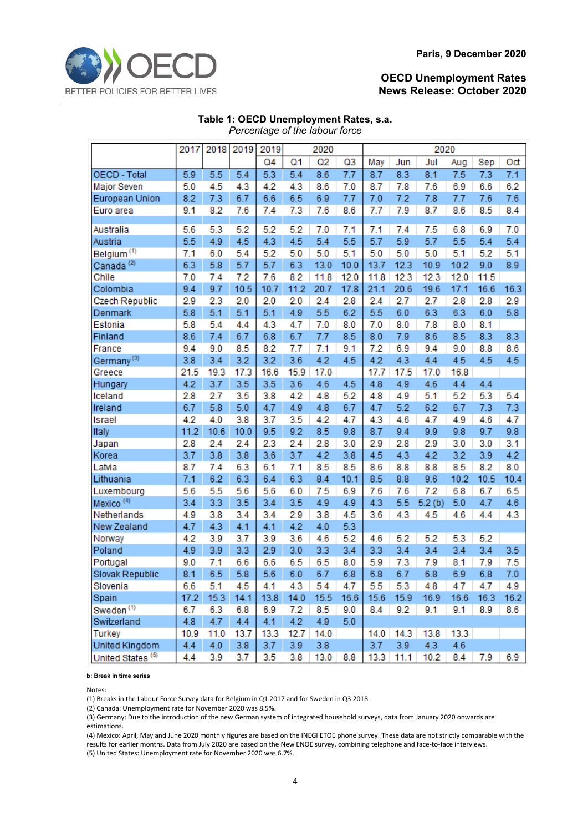|                              | 2017 | 2018 | 2019 | 2019           |      | 2020 |      | 2020 |      |        |      |      |      |  |
|------------------------------|------|------|------|----------------|------|------|------|------|------|--------|------|------|------|--|
|                              |      |      |      | Q <sub>4</sub> | Q1   | Q2   | Q3   | May  | Jun  | Jul    | Aug  | Sep  | Oct  |  |
| OECD - Total                 | 5.9  | 5.5  | 5.4  | 5.3            | 5.4  | 8.6  | 7.7  | 8.7  | 8.3  | 8.1    | 7.5  | 7.3  | 7.1  |  |
| Major Seven                  | 5.0  | 4.5  | 4.3  | 4.2            | 4.3  | 8.6  | 7.0  | 8.7  | 7.8  | 7.6    | 6.9  | 6.6  | 6.2  |  |
| European Union               | 8.2  | 7.3  | 6.7  | 6.6            | 6.5  | 6.9  | 7.7  | 7.0  | 7.2  | 7.8    | 7.7  | 7.6  | 7.6  |  |
| Euro area                    | 9.1  | 8.2  | 7.6  | 7.4            | 7.3  | 7.6  | 8.6  | 7.7  | 7.9  | 8.7    | 8.6  | 8.5  | 8.4  |  |
|                              |      |      |      |                |      |      |      |      |      |        |      |      |      |  |
| Australia                    | 5.6  | 5.3  | 5.2  | 5.2            | 5.2  | 7.0  | 7.1  | 7.1  | 7.4  | 7.5    | 6.8  | 6.9  | 7.0  |  |
| Austria                      | 5.5  | 4.9  | 4.5  | 4.3            | 4.5  | 5.4  | 5.5  | 5.7  | 5.9  | 5.7    | 5.5  | 5.4  | 5.4  |  |
| Belgium <sup>(1)</sup>       | 7.1  | 6.0  | 5.4  | 5.2            | 5.0  | 5.0  | 5.1  | 5.0  | 5.0  | 5.0    | 5.1  | 5.2  | 5.1  |  |
| Canada <sup>(2)</sup>        | 6.3  | 5.8  | 5.7  | 5.7            | 6.3  | 13.0 | 10.0 | 13.7 | 12.3 | 10.9   | 10.2 | 9.0  | 8.9  |  |
| Chile                        | 7.0  | 7.4  | 7.2  | 7.6            | 8.2  | 11.8 | 12.0 | 11.8 | 12.3 | 12.3   | 12.0 | 11.5 |      |  |
| Colombia                     | 9.4  | 9.7  | 10.5 | 10.7           | 11.2 | 20.7 | 17.8 | 21.1 | 20.6 | 19.6   | 17.1 | 16.6 | 16.3 |  |
| Czech Republic               | 2.9  | 2.3  | 2.0  | 2.0            | 2.0  | 2.4  | 2.8  | 2.4  | 2.7  | 2.7    | 2.8  | 2.8  | 2.9  |  |
| Denmark                      | 5.8  | 5.1  | 5.1  | 5.1            | 4.9  | 5.5  | 6.2  | 5.5  | 6.0  | 6.3    | 6.3  | 6.0  | 5.8  |  |
| Estonia                      | 5.8  | 5.4  | 4.4  | 4.3            | 4.7  | 7.0  | 8.0  | 7.0  | 8.0  | 7.8    | 8.0  | 8.1  |      |  |
| Finland                      | 8.6  | 7.4  | 6.7  | 6.8            | 6.7  | 7.7  | 8.5  | 8.0  | 7.9  | 8.6    | 8.5  | 8.3  | 8.3  |  |
| France                       | 9.4  | 9.0  | 8.5  | 8.2            | 7.7  | 7.1  | 9.1  | 7.2  | 6.9  | 9.4    | 9.0  | 8.8  | 8.6  |  |
| Germany <sup>(3)</sup>       | 3.8  | 3.4  | 3.2  | 3.2            | 3.6  | 4.2  | 4.5  | 4.2  | 4.3  | 4.4    | 4.5  | 4.5  | 4.5  |  |
| Greece                       | 21.5 | 19.3 | 17.3 | 16.6           | 15.9 | 17.0 |      | 17.7 | 17.5 | 17.0   | 16.8 |      |      |  |
| Hungary                      | 4.2  | 3.7  | 3.5  | 3.5            | 3.6  | 4.6  | 4.5  | 4.8  | 4.9  | 4.6    | 4.4  | 4.4  |      |  |
| Iceland                      | 2.8  | 2.7  | 3.5  | 3.8            | 4.2  | 4.8  | 5.2  | 4.8  | 4.9  | 5.1    | 5.2  | 5.3  | 5.4  |  |
| Ireland                      | 6.7  | 5.8  | 5.0  | 4.7            | 4.9  | 4.8  | 6.7  | 4.7  | 5.2  | 6.2    | 6.7  | 7.3  | 7.3  |  |
| Israel                       | 4.2  | 4.0  | 3.8  | 3.7            | 3.5  | 4.2  | 4.7  | 4.3  | 4.6  | 4.7    | 4.9  | 4.6  | 4.7  |  |
| Italy                        | 11.2 | 10.6 | 10.0 | 9.5            | 9.2  | 8.5  | 9.8  | 8.7  | 9.4  | 9.9    | 9.8  | 9.7  | 9.8  |  |
| Japan                        | 2.8  | 2.4  | 2.4  | 2.3            | 2.4  | 2.8  | 3.0  | 2.9  | 2.8  | 2.9    | 3.0  | 3.0  | 3.1  |  |
| Korea                        | 3.7  | 3.8  | 3.8  | 3.6            | 3.7  | 4.2  | 3.8  | 4.5  | 4.3  | 4.2    | 3.2  | 3.9  | 4.2  |  |
| Latvia                       | 8.7  | 7.4  | 6.3  | 6.1            | 7.1  | 8.5  | 8.5  | 8.6  | 8.8  | 8.8    | 8.5  | 8.2  | 8.0  |  |
| Lithuania                    | 7.1  | 6.2  | 6.3  | 6.4            | 6.3  | 8.4  | 10.1 | 8.5  | 8.8  | 9.6    | 10.2 | 10.5 | 10.4 |  |
| Luxembourg                   | 5.6  | 5.5  | 5.6  | 5.6            | 6.0  | 7.5  | 6.9  | 7.6  | 7.6  | 7.2    | 6.8  | 6.7  | 6.5  |  |
| Mexico <sup>(4)</sup>        | 3.4  | 3.3  | 3.5  | 3.4            | 3.5  | 4.9  | 4.9  | 4.3  | 5.5  | 5.2(b) | 5.0  | 4.7  | 4.6  |  |
| Netherlands                  | 4.9  | 3.8  | 3.4  | 3.4            | 2.9  | 3.8  | 4.5  | 3.6  | 4.3  | 4.5    | 4.6  | 4.4  | 4.3  |  |
| New Zealand                  | 4.7  | 4.3  | 4.1  | 4.1            | 4.2  | 4.0  | 5.3  |      |      |        |      |      |      |  |
| Norway                       | 4.2  | 3.9  | 3.7  | 3.9            | 3.6  | 4.6  | 5.2  | 4.6  | 5.2  | 5.2    | 5.3  | 5.2  |      |  |
| Poland                       | 4.9  | 3.9  | 3.3  | 2.9            | 3.0  | 3.3  | 3.4  | 3.3  | 3.4  | 3.4    | 3.4  | 3.4  | 3.5  |  |
| Portugal                     | 9.0  | 7.1  | 6.6  | 6.6            | 6.5  | 6.5  | 8.0  | 5.9  | 7.3  | 7.9    | 8.1  | 7.9  | 7.5  |  |
| Slovak Republic              | 8.1  | 6.5  | 5.8  | 5.6            | 6.0  | 6.7  | 6.8  | 6.8  | 6.7  | 6.8    | 6.9  | 6.8  | 7.0  |  |
| Slovenia                     | 6.6  | 5.1  | 4.5  | 4.1            | 4.3  | 5.4  | 4.7  | 5.5  | 5.3  | 4.8    | 4.7  | 4.7  | 4.9  |  |
| Spain                        | 17.2 | 15.3 | 14.1 | 13.8           | 14.0 | 15.5 | 16.6 | 15.6 | 15.9 | 16.9   | 16.6 | 16.3 | 16.2 |  |
| Sweden <sup>(1)</sup>        | 6.7  | 6.3  | 6.8  | 6.9            | 7.2  | 8.5  | 9.0  | 8.4  | 9.2  | 9.1    | 9.1  | 8.9  | 8.6  |  |
| Switzerland                  | 4.8  | 4.7  | 4.4  | 4.1            | 4.2  | 4.9  | 5.0  |      |      |        |      |      |      |  |
| <b>Turkey</b>                | 10.9 | 11.0 | 13.7 | 13.3           | 12.7 | 14.0 |      | 14.0 | 14.3 | 13.8   | 13.3 |      |      |  |
| United Kingdom               | 4.4  | 4.0  | 3.8  | 3.7            | 3.9  | 3.8  |      | 3.7  | 3.9  | 4.3    | 4.6  |      |      |  |
| United States <sup>(5)</sup> | 4.4  | 3.9  | 3.7  | 3.5            | 3.8  | 13.0 | 8.8  | 13.3 | 11.1 | 10.2   | 8.4  | 7.9  | 6.9  |  |

#### **Table 1: OECD Unemployment Rates, s.a.** *Percentage of the labour force*

**b: Break in time series**

Notes:

(1) Breaks in the Labour Force Survey data for Belgium in Q1 2017 and for Sweden in Q3 2018.

(2) Canada: Unemployment rate for November 2020 was 8.5%.

(3) Germany: Due to the introduction of the new German system of integrated household surveys, data from January 2020 onwards are estimations.

(4) Mexico: April, May and June 2020 monthly figures are based on the INEGI ETOE phone survey. These data are not strictly comparable with the results for earlier months. Data from July 2020 are based on the New ENOE survey, combining telephone and face-to-face interviews. (5) United States: Unemployment rate for November 2020 was 6.7%.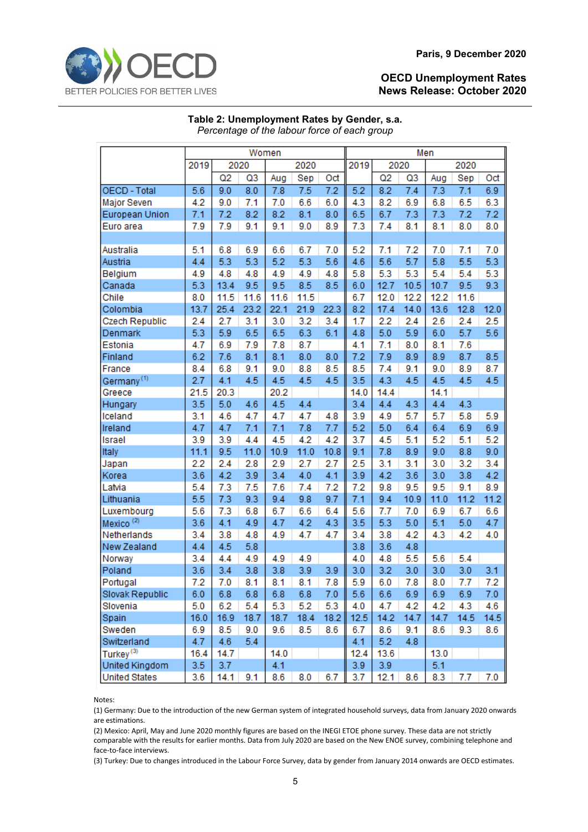

|                        | Women |      |      |      |      |      | Men  |      |      |      |      |      |  |
|------------------------|-------|------|------|------|------|------|------|------|------|------|------|------|--|
|                        | 2019  | 2020 |      | 2020 |      |      | 2019 | 2020 |      |      | 2020 |      |  |
|                        |       | Q2   | Q3   | Aug  | Sep  | Oct  |      | Q2   | Q3   | Aug  | Sep  | Oct  |  |
| <b>OECD - Total</b>    | 5.6   | 9.0  | 8.0  | 7.8  | 7.5  | 7.2  | 5.2  | 8.2  | 7.4  | 7.3  | 7.1  | 6.9  |  |
| Major Seven            | 4.2   | 9.0  | 7.1  | 7.0  | 6.6  | 6.0  | 4.3  | 8.2  | 6.9  | 6.8  | 6.5  | 6.3  |  |
| European Union         | 7.1   | 7.2  | 8.2  | 8.2  | 8.1  | 8.0  | 6.5  | 6.7  | 7.3  | 7.3  | 7.2  | 7.2  |  |
| Euro area              | 7.9   | 7.9  | 9.1  | 9.1  | 9.0  | 8.9  | 7.3  | 7.4  | 8.1  | 8.1  | 8.0  | 8.0  |  |
|                        |       |      |      |      |      |      |      |      |      |      |      |      |  |
| Australia              | 5.1   | 6.8  | 6.9  | 6.6  | 6.7  | 7.0  | 5.2  | 7.1  | 7.2  | 7.0  | 7.1  | 7.0  |  |
| Austria                | 4.4   | 5.3  | 5.3  | 5.2  | 5.3  | 5.6  | 4.6  | 5.6  | 5.7  | 5.8  | 5.5  | 5.3  |  |
| Belgium                | 4.9   | 4.8  | 4.8  | 4.9  | 4.9  | 4.8  | 5.8  | 5.3  | 5.3  | 5.4  | 5.4  | 5.3  |  |
| Canada                 | 5.3   | 13.4 | 9.5  | 9.5  | 8.5  | 8.5  | 6.0  | 12.7 | 10.5 | 10.7 | 9.5  | 9.3  |  |
| Chile                  | 8.0   | 11.5 | 11.6 | 11.6 | 11.5 |      | 6.7  | 12.0 | 12.2 | 12.2 | 11.6 |      |  |
| Colombia               | 13.7  | 25.4 | 23.2 | 22.1 | 21.9 | 22.3 | 8.2  | 17.4 | 14.0 | 13.6 | 12.8 | 12.0 |  |
| Czech Republic         | 2.4   | 2.7  | 3.1  | 3.0  | 3.2  | 3.4  | 1.7  | 2.2  | 2.4  | 2.6  | 2.4  | 2.5  |  |
| Denmark                | 5.3   | 5.9  | 6.5  | 6.5  | 6.3  | 6.1  | 4.8  | 5.0  | 5.9  | 6.0  | 5.7  | 5.6  |  |
| Estonia                | 4.7   | 6.9  | 7.9  | 7.8  | 8.7  |      | 4.1  | 7.1  | 8.0  | 8.1  | 7.6  |      |  |
| Finland                | 6.2   | 7.6  | 8.1  | 8.1  | 8.0  | 8.0  | 7.2  | 7.9  | 8.9  | 8.9  | 8.7  | 8.5  |  |
| France                 | 8.4   | 6.8  | 9.1  | 9.0  | 8.8  | 8.5  | 8.5  | 7.4  | 9.1  | 9.0  | 8.9  | 8.7  |  |
| Germany <sup>(1)</sup> | 2.7   | 4.1  | 4.5  | 4.5  | 4.5  | 4.5  | 3.5  | 4.3  | 4.5  | 4.5  | 4.5  | 4.5  |  |
| Greece                 | 21.5  | 20.3 |      | 20.2 |      |      | 14.0 | 14.4 |      | 14.1 |      |      |  |
| Hungary                | 3.5   | 5.0  | 4.6  | 4.5  | 4.4  |      | 3.4  | 4.4  | 4.3  | 4.4  | 4.3  |      |  |
| Iceland                | 3.1   | 4.6  | 4.7  | 4.7  | 4.7  | 4.8  | 3.9  | 4.9  | 5.7  | 5.7  | 5.8  | 5.9  |  |
| Ireland                | 4.7   | 4.7  | 7.1  | 7.1  | 7.8  | 7.7  | 5.2  | 5.0  | 6.4  | 6.4  | 6.9  | 6.9  |  |
| Israel                 | 3.9   | 3.9  | 4.4  | 4.5  | 4.2  | 4.2  | 3.7  | 4.5  | 5.1  | 5.2  | 5.1  | 5.2  |  |
| Italy                  | 11.1  | 9.5  | 11.0 | 10.9 | 11.0 | 10.8 | 9.1  | 7.8  | 8.9  | 9.0  | 8.8  | 9.0  |  |
| Japan                  | 2.2   | 2.4  | 2.8  | 2.9  | 2.7  | 2.7  | 2.5  | 3.1  | 3.1  | 3.0  | 3.2  | 3.4  |  |
| Korea                  | 3.6   | 4.2  | 3.9  | 3.4  | 4.0  | 4.1  | 3.9  | 4.2  | 3.6  | 3.0  | 3.8  | 4.2  |  |
| Latvia                 | 5.4   | 7.3  | 7.5  | 7.6  | 7.4  | 7.2  | 7.2  | 9.8  | 9.5  | 9.5  | 9.1  | 8.9  |  |
| Lithuania              | 5.5   | 7.3  | 9.3  | 9.4  | 9.8  | 9.7  | 7.1  | 9.4  | 10.9 | 11.0 | 11.2 | 11.2 |  |
| Luxembourg             | 5.6   | 7.3  | 6.8  | 6.7  | 6.6  | 6.4  | 5.6  | 7.7  | 7.0  | 6.9  | 6.7  | 6.6  |  |
| Mexico <sup>(2)</sup>  | 3.6   | 4.1  | 4.9  | 4.7  | 4.2  | 4.3  | 3.5  | 5.3  | 5.0  | 5.1  | 5.0  | 4.7  |  |
| Netherlands            | 3.4   | 3.8  | 4.8  | 4.9  | 4.7  | 4.7  | 3.4  | 3.8  | 4.2  | 4.3  | 4.2  | 4.0  |  |
| New Zealand            | 4.4   | 4.5  | 5.8  |      |      |      | 3.8  | 3.6  | 4.8  |      |      |      |  |
| Norway                 | 3.4   | 4.4  | 4.9  | 4.9  | 4.9  |      | 4.0  | 4.8  | 5.5  | 5.6  | 5.4  |      |  |
| Poland                 | 3.6   | 3.4  | 3.8  | 3.8  | 3.9  | 3.9  | 3.0  | 3.2  | 3.0  | 3.0  | 3.0  | 3.1  |  |
| Portugal               | 7.2   | 7.0  | 8.1  | 8.1  | 8.1  | 7.8  | 5.9  | 6.0  | 7.8  | 8.0  | 7.7  | 7.2  |  |
| Slovak Republic        | 6.0   | 6.8  | 6.8  | 6.8  | 6.8  | 7.0  | 5.6  | 6.6  | 6.9  | 6.9  | 6.9  | 7.0  |  |
| Slovenia               | 5.0   | 6.2  | 5.4  | 5.3  | 5.2  | 5.3  | 4.0  | 4.7  | 4.2  | 4.2  | 4.3  | 4.6  |  |
| Spain                  | 16.0  | 16.9 | 18.7 | 18.7 | 18.4 | 18.2 | 12.5 | 14.2 | 14.7 | 14.7 | 14.5 | 14.5 |  |
| Sweden                 | 6.9   | 8.5  | 9.0  | 9.6  | 8.5  | 8.6  | 6.7  | 8.6  | 9.1  | 8.6  | 9.3  | 8.6  |  |
| Switzerland            | 4.7   | 4.6  | 5.4  |      |      |      | 4.1  | 5.2  | 4.8  |      |      |      |  |
| Turkey <sup>(3)</sup>  | 16.4  | 14.7 |      | 14.0 |      |      | 12.4 | 13.6 |      | 13.0 |      |      |  |
| United Kingdom         | 3.5   | 3.7  |      | 4.1  |      |      | 3.9  | 3.9  |      | 5.1  |      |      |  |
| <b>United States</b>   | 3.6   | 14.1 | 9.1  | 8.6  | 8.0  | 6.7  | 3.7  | 12.1 | 8.6  | 8.3  | 7.7  | 7.0  |  |

**Table 2: Unemployment Rates by Gender, s.a.** *Percentage of the labour force of each group*

Notes:

(1) Germany: Due to the introduction of the new German system of integrated household surveys, data from January 2020 onwards are estimations.

(2) Mexico: April, May and June 2020 monthly figures are based on the INEGI ETOE phone survey. These data are not strictly comparable with the results for earlier months. Data from July 2020 are based on the New ENOE survey, combining telephone and face-to-face interviews.

(3) Turkey: Due to changes introduced in the Labour Force Survey, data by gender from January 2014 onwards are OECD estimates.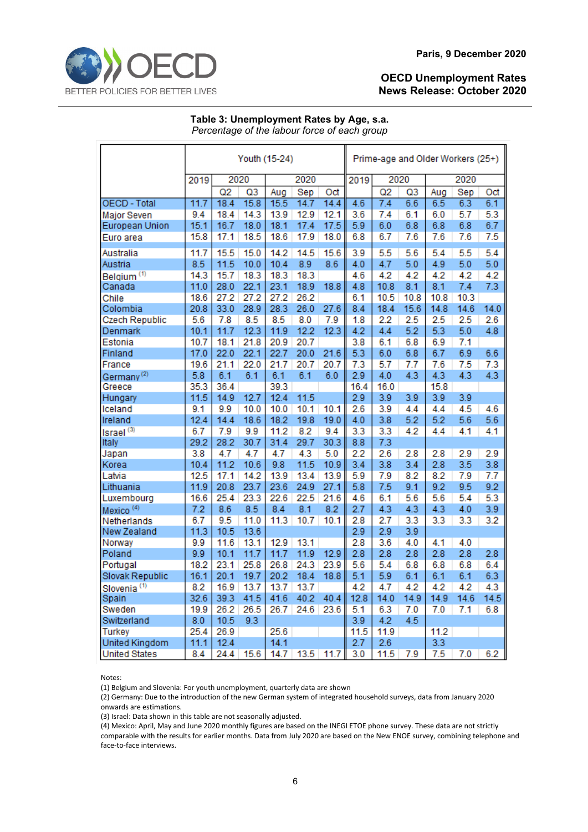#### **Table 3: Unemployment Rates by Age, s.a.** *Percentage of the labour force of each group*

|                         | Youth (15-24) |      |      |      |      |      |              | Prime-age and Older Workers (25+) |      |      |      |      |  |
|-------------------------|---------------|------|------|------|------|------|--------------|-----------------------------------|------|------|------|------|--|
|                         | 2020<br>2019  |      |      | 2020 |      |      | 2020<br>2019 |                                   |      | 2020 |      |      |  |
|                         |               | Q2   | Q3   | Aug  | Sep  | Oct  |              | Q2                                | Q3   | Aug  | Sep  | Oct  |  |
| <b>OECD - Total</b>     | 11.7          | 18.4 | 15.8 | 15.5 | 14.7 | 14.4 | 4.6          | 7.4                               | 6.6  | 6.5  | 6.3  | 6.1  |  |
| Major Seven             | 9.4           | 18.4 | 14.3 | 13.9 | 12.9 | 12.1 | 3.6          | 7.4                               | 6.1  | 6.0  | 5.7  | 5.3  |  |
| European Union          | 15.1          | 16.7 | 18.0 | 18.1 | 17.4 | 17.5 | 5.9          | 6.0                               | 6.8  | 6.8  | 6.8  | 6.7  |  |
| Euro area               | 15.8          | 17.1 | 18.5 | 18.6 | 17.9 | 18.0 | 6.8          | 6.7                               | 7.6  | 7.6  | 7.6  | 7.5  |  |
| Australia               | 11.7          | 15.5 | 15.0 | 14.2 | 14.5 | 15.6 | 3.9          | 5.5                               | 5.6  | 5.4  | 5.5  | 5.4  |  |
| Austria                 | 8.5           | 11.5 | 10.0 | 10.4 | 8.9  | 8.6  | 4.0          | 4.7                               | 5.0  | 4.9  | 5.0  | 5.0  |  |
| Belgium <sup>(1)</sup>  | 14.3          | 15.7 | 18.3 | 18.3 | 18.3 |      | 4.6          | 4.2                               | 4.2  | 4.2  | 4.2  | 4.2  |  |
| Canada                  | 11.0          | 28.0 | 22.1 | 23.1 | 18.9 | 18.8 | 4.8          | 10.8                              | 8.1  | 8.1  | 7.4  | 7.3  |  |
| Chile                   | 18.6          | 27.2 | 27.2 | 27.2 | 26.2 |      | 6.1          | 10.5                              | 10.8 | 10.8 | 10.3 |      |  |
| Colombia                | 20.8          | 33.0 | 28.9 | 28.3 | 26.0 | 27.6 | 8.4          | 18.4                              | 15.6 | 14.8 | 14.6 | 14.0 |  |
| Czech Republic          | 5.6           | 7.8  | 8.5  | 8.5  | 8.0  | 7.9  | 1.8          | 2.2                               | 2.5  | 2.5  | 2.5  | 2.6  |  |
| Denmark                 | 10.1          | 11.7 | 12.3 | 11.9 | 12.2 | 12.3 | 4.2          | 4.4                               | 5.2  | 5.3  | 5.0  | 4.8  |  |
| Estonia                 | 10.7          | 18.1 | 21.8 | 20.9 | 20.7 |      | 3.8          | 6.1                               | 6.8  | 6.9  | 7.1  |      |  |
| Finland                 | 17.0          | 22.0 | 22.1 | 22.7 | 20.0 | 21.6 | 5.3          | 6.0                               | 6.8  | 6.7  | 6.9  | 6.6  |  |
| France                  | 19.6          | 21.1 | 22.0 | 21.7 | 20.7 | 20.7 | 7.3          | 5.7                               | 7.7  | 7.6  | 7.5  | 7.3  |  |
| Germany <sup>(2)</sup>  | 5.8           | 6.1  | 6.1  | 6.1  | 6.1  | 6.0  | 2.9          | 4.0                               | 4.3  | 4.3  | 4.3  | 4.3  |  |
| Greece                  | 35.3          | 36.4 |      | 39.3 |      |      | 16.4         | 16.0                              |      | 15.8 |      |      |  |
| Hungary                 | 11.5          | 14.9 | 12.7 | 12.4 | 11.5 |      | 2.9          | 3.9                               | 3.9  | 3.9  | 3.9  |      |  |
| Iceland                 | 9.1           | 9.9  | 10.0 | 10.0 | 10.1 | 10.1 | 2.6          | 3.9                               | 4.4  | 4.4  | 4.5  | 4.6  |  |
| Ireland                 | 12.4          | 14.4 | 18.6 | 18.2 | 19.8 | 19.0 | 4.0          | 3.8                               | 5.2  | 5.2  | 5.6  | 5.6  |  |
| Israel <sup>(3)</sup>   | 6.7           | 7.9  | 9.9  | 11.2 | 8.2  | 9.4  | 3.3          | 3.3                               | 4.2  | 4.4  | 4.1  | 4.1  |  |
| Italy                   | 29.2          | 28.2 | 30.7 | 31.4 | 29.7 | 30.3 | 8.8          | 7.3                               |      |      |      |      |  |
| Japan                   | 3.8           | 4.7  | 4.7  | 4.7  | 4.3  | 5.0  | 2.2          | 2.6                               | 2.8  | 2.8  | 2.9  | 2.9  |  |
| Korea                   | 10.4          | 11.2 | 10.6 | 9.8  | 11.5 | 10.9 | 3.4          | 3.8                               | 3.4  | 2.8  | 3.5  | 3.8  |  |
| Latvia                  | 12.5          | 17.1 | 14.2 | 13.9 | 13.4 | 13.9 | 5.9          | 7.9                               | 8.2  | 8.2  | 7.9  | 7.7  |  |
| Lithuania               | 11.9          | 20.8 | 23.7 | 23.6 | 24.9 | 27.1 | 5.8          | 7.5                               | 9.1  | 9.2  | 9.5  | 9.2  |  |
| Luxembourg              | 16.6          | 25.4 | 23.3 | 22.6 | 22.5 | 21.6 | 4.6          | 6.1                               | 5.6  | 5.6  | 5.4  | 5.3  |  |
| Mexico <sup>(4)</sup>   | 7.2           | 8.6  | 8.5  | 8.4  | 8.1  | 8.2  | 2.7          | 4.3                               | 4.3  | 4.3  | 4.0  | 3.9  |  |
| Netherlands             | 6.7           | 9.5  | 11.0 | 11.3 | 10.7 | 10.1 | 2.8          | 2.7                               | 3.3  | 3.3  | 3.3  | 3.2  |  |
| New Zealand             | 11.3          | 10.5 | 13.6 |      |      |      | 2.9          | 2.9                               | 3.9  |      |      |      |  |
| Norway                  | 9.9           | 11.6 | 13.1 | 12.9 | 13.1 |      | 2.8          | 3.6                               | 4.0  | 4.1  | 4.0  |      |  |
| Poland                  | 9.9           | 10.1 | 11.7 | 11.7 | 11.9 | 12.9 | 2.8          | 2.8                               | 2.8  | 2.8  | 2.8  | 2.8  |  |
| Portugal                | 18.2          | 23.1 | 25.8 | 26.8 | 24.3 | 23.9 | 5.6          | 5.4                               | 6.8  | 6.8  | 6.8  | 6.4  |  |
| Slovak Republic         | 16.1          | 20.1 | 19.7 | 20.2 | 18.4 | 18.8 | 5.1          | 5.9                               | 6.1  | 6.1  | 6.1  | 6.3  |  |
| Slovenia <sup>(1)</sup> | 8.2           | 16.9 | 13.7 | 13.7 | 13.7 |      | 4.2          | 4.7                               | 4.2  | 4.2  | 4.2  | 4.3  |  |
| Spain                   | 32.6          | 39.3 | 41.5 | 41.6 | 40.2 | 40.4 | 12.8         | 14.0                              | 14.9 | 14.9 | 14.6 | 14.5 |  |
| Sweden                  | 19.9          | 26.2 | 26.5 | 26.7 | 24.6 | 23.6 | 5.1          | 6.3                               | 7.0  | 7.0  | 7.1  | 6.8  |  |
| Switzerland             | 8.0           | 10.5 | 9.3  |      |      |      | 3.9          | 4.2                               | 4.5  |      |      |      |  |
| Turkey                  | 25.4          | 26.9 |      | 25.6 |      |      | 11.5         | 11.9                              |      | 11.2 |      |      |  |
| United Kingdom          | 11.1          | 12.4 |      | 14.1 |      |      | 2.7          | 2.6                               |      | 3.3  |      |      |  |
| <b>United States</b>    | 8.4           | 24.4 | 15.6 | 14.7 | 13.5 | 11.7 | 3.0          | 11.5                              | 7.9  | 7.5  | 7.0  | 6.2  |  |

Notes:

(1) Belgium and Slovenia: For youth unemployment, quarterly data are shown

(2) Germany: Due to the introduction of the new German system of integrated household surveys, data from January 2020 onwards are estimations.

(3) Israel: Data shown in this table are not seasonally adjusted.

(4) Mexico: April, May and June 2020 monthly figures are based on the INEGI ETOE phone survey. These data are not strictly comparable with the results for earlier months. Data from July 2020 are based on the New ENOE survey, combining telephone and face-to-face interviews.